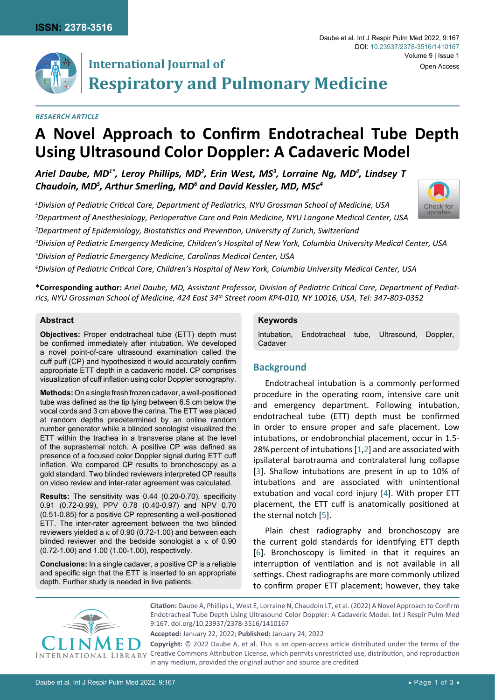

# **International Journal of Respiratory and Pulmonary Medicine**

#### *Resaerch Article*

## **A Novel Approach to Confirm Endotracheal Tube Depth Using Ultrasound Color Doppler: A Cadaveric Model**

Ariel Daube, MD<sup>1\*</sup>, Leroy Phillips, MD<sup>2</sup>, Erin West, MS<sup>3</sup>, Lorraine Ng, MD<sup>4</sup>, Lindsey T *Chaudoin, MD5 , Arthur Smerling, MD6 and David Kessler, MD, MSc4*

*1 Division of Pediatric Critical Care, Department of Pediatrics, NYU Grossman School of Medicine, USA 2 Department of Anesthesiology, Perioperative Care and Pain Medicine, NYU Langone Medical Center, USA 3 Department of Epidemiology, Biostatistics and Prevention, University of Zurich, Switzerland*

*4 Division of Pediatric Emergency Medicine, Children's Hospital of New York, Columbia University Medical Center, USA*

*5 Division of Pediatric Emergency Medicine, Carolinas Medical Center, USA*

*6 Division of Pediatric Critical Care, Children's Hospital of New York, Columbia University Medical Center, USA*

**\*Corresponding author:** *Ariel Daube, MD, Assistant Professor, Division of Pediatric Critical Care, Department of Pediatrics, NYU Grossman School of Medicine, 424 East 34th Street room KP4-010, NY 10016, USA, Tel: 347-803-0352*

#### **Abstract**

**Objectives:** Proper endotracheal tube (ETT) depth must be confirmed immediately after intubation. We developed a novel point-of-care ultrasound examination called the cuff puff (CP) and hypothesized it would accurately confirm appropriate ETT depth in a cadaveric model. CP comprises visualization of cuff inflation using color Doppler sonography.

**Methods:** On a single fresh frozen cadaver, a well-positioned tube was defined as the tip lying between 6.5 cm below the vocal cords and 3 cm above the carina. The ETT was placed at random depths predetermined by an online random number generator while a blinded sonologist visualized the ETT within the trachea in a transverse plane at the level of the suprasternal notch. A positive CP was defined as presence of a focused color Doppler signal during ETT cuff inflation. We compared CP results to bronchoscopy as a gold standard. Two blinded reviewers interpreted CP results on video review and inter-rater agreement was calculated.

**Results:** The sensitivity was 0.44 (0.20-0.70), specificity 0.91 (0.72-0.99), PPV 0.78 (0.40-0.97) and NPV 0.70 (0.51-0.85) for a positive CP representing a well-positioned ETT. The inter-rater agreement between the two blinded reviewers yielded a  $κ$  of 0.90 (0.72-1.00) and between each blinded reviewer and the bedside sonologist a  $\kappa$  of 0.90 (0.72-1.00) and 1.00 (1.00-1.00), respectively.

**Conclusions:** In a single cadaver, a positive CP is a reliable and specific sign that the ETT is inserted to an appropriate depth. Further study is needed in live patients.

#### **Keywords**

Intubation, Endotracheal tube, Ultrasound, Doppler, Cadaver

### **Background**

Endotracheal intubation is a commonly performed procedure in the operating room, intensive care unit and emergency department. Following intubation, endotracheal tube (ETT) depth must be confirmed in order to ensure proper and safe placement. Low intubations, or endobronchial placement, occur in 1.5- 28% percent of intubations [[1](#page-2-0),[2](#page-2-1)] and are associated with ipsilateral barotrauma and contralateral lung collapse [[3](#page-2-2)]. Shallow intubations are present in up to 10% of intubations and are associated with unintentional extubation and vocal cord injury [[4\]](#page-2-3). With proper ETT placement, the ETT cuff is anatomically positioned at the sternal notch [[5\]](#page-2-4).

Plain chest radiography and bronchoscopy are the current gold standards for identifying ETT depth [[6](#page-2-5)]. Bronchoscopy is limited in that it requires an interruption of ventilation and is not available in all settings. Chest radiographs are more commonly utilized to confirm proper ETT placement; however, they take



**Citation:** Daube A, Phillips L, West E, Lorraine N, Chaudoin LT, et al. (2022) A Novel Approach to Confirm Endotracheal Tube Depth Using Ultrasound Color Doppler: A Cadaveric Model. Int J Respir Pulm Med 9:167. [doi.org/10.23937/2378-3516/1410167](https://doi.org/10.23937/2378-3516/1410167)

**Accepted:** January 22, 2022; **Published:** January 24, 2022

**Copyright:** © 2022 Daube A, et al. This is an open-access article distributed under the terms of the Creative Commons Attribution License, which permits unrestricted use, distribution, and reproduction in any medium, provided the original author and source are credited

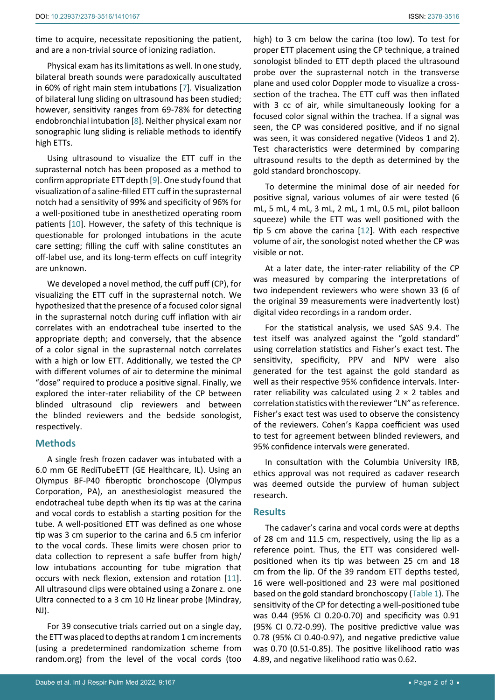time to acquire, necessitate repositioning the patient, and are a non-trivial source of ionizing radiation.

Physical exam has its limitations as well. In one study, bilateral breath sounds were paradoxically auscultated in 60% of right main stem intubations [[7](#page-2-8)]. Visualization of bilateral lung sliding on ultrasound has been studied; however, sensitivity ranges from 69-78% for detecting endobronchial intubation [[8](#page-2-9)]. Neither physical exam nor sonographic lung sliding is reliable methods to identify high ETTs.

Using ultrasound to visualize the ETT cuff in the suprasternal notch has been proposed as a method to confirm appropriate ETT depth [[9](#page-2-10)]. One study found that visualization of a saline-filled ETT cuff in the suprasternal notch had a sensitivity of 99% and specificity of 96% for a well-positioned tube in anesthetized operating room patients [[10](#page-2-11)]. However, the safety of this technique is questionable for prolonged intubations in the acute care setting; filling the cuff with saline constitutes an off-label use, and its long-term effects on cuff integrity are unknown.

We developed a novel method, the cuff puff (CP), for visualizing the ETT cuff in the suprasternal notch. We hypothesized that the presence of a focused color signal in the suprasternal notch during cuff inflation with air correlates with an endotracheal tube inserted to the appropriate depth; and conversely, that the absence of a color signal in the suprasternal notch correlates with a high or low ETT. Additionally, we tested the CP with different volumes of air to determine the minimal "dose" required to produce a positive signal. Finally, we explored the inter-rater reliability of the CP between blinded ultrasound clip reviewers and between the blinded reviewers and the bedside sonologist, respectively.

#### **Methods**

A single fresh frozen cadaver was intubated with a 6.0 mm GE RediTubeETT (GE Healthcare, IL). Using an Olympus BF-P40 fiberoptic bronchoscope (Olympus Corporation, PA), an anesthesiologist measured the endotracheal tube depth when its tip was at the carina and vocal cords to establish a starting position for the tube. A well-positioned ETT was defined as one whose tip was 3 cm superior to the carina and 6.5 cm inferior to the vocal cords. These limits were chosen prior to data collection to represent a safe buffer from high/ low intubations accounting for tube migration that occurs with neck flexion, extension and rotation [[11](#page-2-12)]. All ultrasound clips were obtained using a Zonare z. one Ultra connected to a 3 cm 10 Hz linear probe (Mindray, NJ).

For 39 consecutive trials carried out on a single day, the ETT was placed to depths at random 1 cm increments (using a predetermined randomization scheme from random.org) from the level of the vocal cords (too high) to 3 cm below the carina (too low). To test for proper ETT placement using the CP technique, a trained sonologist blinded to ETT depth placed the ultrasound probe over the suprasternal notch in the transverse plane and used color Doppler mode to visualize a crosssection of the trachea. The ETT cuff was then inflated with 3 cc of air, while simultaneously looking for a focused color signal within the trachea. If a signal was seen, the CP was considered positive, and if no signal was seen, it was considered negative (Videos 1 and 2). Test characteristics were determined by comparing ultrasound results to the depth as determined by the gold standard bronchoscopy.

To determine the minimal dose of air needed for positive signal, various volumes of air were tested (6 mL, 5 mL, 4 mL, 3 mL, 2 mL, 1 mL, 0.5 mL, pilot balloon squeeze) while the ETT was well positioned with the tip 5 cm above the carina [[12](#page-2-6)]. With each respective volume of air, the sonologist noted whether the CP was visible or not.

At a later date, the inter-rater reliability of the CP was measured by comparing the interpretations of two independent reviewers who were shown 33 (6 of the original 39 measurements were inadvertently lost) digital video recordings in a random order.

For the statistical analysis, we used SAS 9.4. The test itself was analyzed against the "gold standard" using correlation statistics and Fisher's exact test. The sensitivity, specificity, PPV and NPV were also generated for the test against the gold standard as well as their respective 95% confidence intervals. Interrater reliability was calculated using  $2 \times 2$  tables and correlation statistics with the reviewer "LN" as reference. Fisher's exact test was used to observe the consistency of the reviewers. Cohen's Kappa coefficient was used to test for agreement between blinded reviewers, and 95% confidence intervals were generated.

In consultation with the Columbia University IRB, ethics approval was not required as cadaver research was deemed outside the purview of human subject research.

#### **Results**

The cadaver's carina and vocal cords were at depths of 28 cm and 11.5 cm, respectively, using the lip as a reference point. Thus, the ETT was considered wellpositioned when its tip was between 25 cm and 18 cm from the lip. Of the 39 random ETT depths tested, 16 were well-positioned and 23 were mal positioned based on the gold standard bronchoscopy ([Table 1\)](#page-2-7). The sensitivity of the CP for detecting a well-positioned tube was 0.44 (95% CI 0.20-0.70) and specificity was 0.91 (95% CI 0.72-0.99). The positive predictive value was 0.78 (95% CI 0.40-0.97), and negative predictive value was 0.70 (0.51-0.85). The positive likelihood ratio was 4.89, and negative likelihood ratio was 0.62.